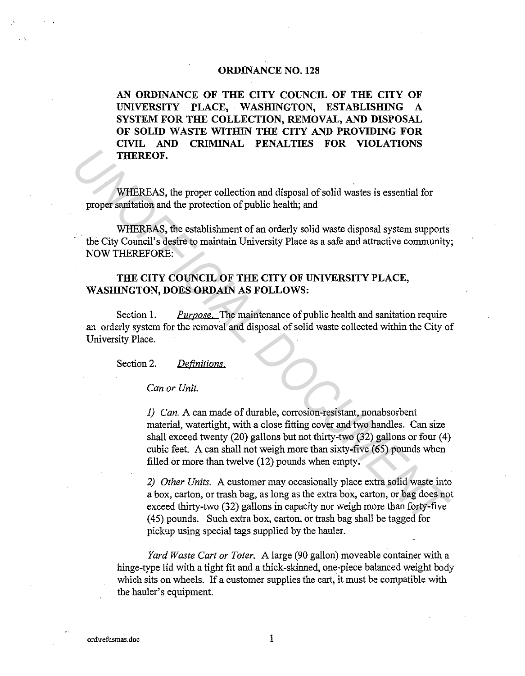#### **ORDINANCE NO. 128**

**AN ORDINANCE OF THE CITY COUNCIL OF THE CITY OF**  UNIVERSITY PLACE, WASHINGTON, ESTABLISHING A **SYSTEM FOR THE COLLECTION, REMOVAL, AND DISPOSAL OF SOLID WASTE WITHIN THE CITY AND PROVIDING FOR CIVIL AND CRIMINAL PENALTIES FOR VIOLATIONS THEREOF.** 

WHEREAS, the proper collection and disposal of solid wastes is essential for proper sanitation and the protection of public health; and

WHEREAS, the establishment of an orderly solid waste disposal system supports the City Council's desire to maintain University Place as a safe and attractive community; NOW THEREFORE:

## **THE CITY COUNCIL OF THE CITY OF UNIVERSITY PLACE, WASHINGTON, DOES ORDAIN AS FOLLOWS:**

Section 1. *Purpose.* The maintenance of public health and sanitation require an orderly system for the removal and disposal of solid waste collected within the City of University Place.

Section 2. *Definitions.* 

*Can or Unit.* 

*I) Can.* A can made of durable, corrosion-resistant, nonabsorbent material, watertight, with a close fitting cover and two handles. Can size shall exceed twenty (20) gallons but not thirty-two (32) gallons or four (4) cubic feet. A can shall not weigh more than sixty-five (65) pounds when filled or more than twelve (12) pounds when empty. **THEREOF.**<br> **WHEREAS, the proper collection and disposal of solid wastes is essential for<br>
proper sanitation and the protection for public health; and<br>
UNIEREAS, the erationishment of an orderly solid waste disposal system** 

*2) Other Units.* A customer may occasionally place extra solid waste into a box, carton, or trash bag, as long as the extra box, carton, or bag does not exceed thirty-two (32) gallons in capacity nor weigh more than forty-five (45) pounds. Such extra box, carton, or trash bag shall be tagged for pickup using special tags supplied by the hauler.

*Yard Waste Cart or Toter.* A large (90 gallon) moveable container with a hinge-type lid with a tight fit and a thick-skinned, one-piece balanced weight body which sits on wheels. If a customer supplies the cart, it must be compatible with the hauler's equipment.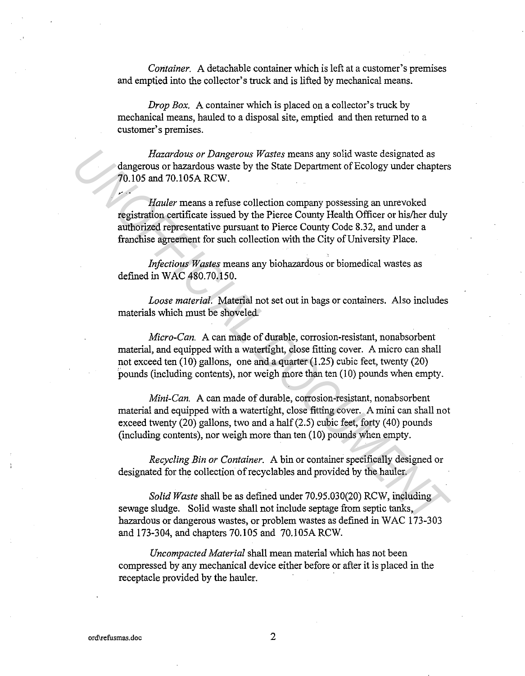*Container.* A detachable container which is left at a customer's premises and emptied into the collector's truck and is lifted by mechanical means.

*Drop Box.* A container which is placed on a collector's truck by mechanical means, hauled to a disposal site, emptied and then returned to a customer's premises.

*Hazardous or Dangerous Wastes* means any solid waste designated as dangerous or hazardous waste by the State Department of Ecology under chapters 70.105 and 70.105A RCW.

*Hauler* means a refuse collection company possessing an unrevoked registration certificate issued by the Pierce County Health Officer or his/her duly authorized representative pursuant to Pierce County Code 8.32, and under a franchise agreement for such collection with the City of University Place.

*Infectious Wastes* means any biohazardous or biomedical wastes as defined in WAC 480.70.150.

*Loose material.* Material not set out in bags or containers. Also includes materials which must be shoveled.

*Micro-Can.* A can made of durable, corrosion-resistant, nonabsorbent material, and equipped with a watertight, close fitting cover. A micro can shall not exceed ten (10) gallons, one and a quarter (1.25) cubic feet, twenty (20) pounds (including contents), nor weigh more than ten (10) pounds when empty.

*Mini-Can.* A can made of durable, corrosion-resistant, nonabsorbent material and equipped with a watertight, close fitting cover. A mini can shall not exceed twenty (20) gallons, two and a half (2.5) cubic feet, forty (40) pounds (including contents), nor weigh more than ten (10) pounds when empty. *Hazardous or Dangerous Wastes* means any solid waste designated as<br>
dangerous or hazardous waste by the State Department of Ecology under chapters<br>
70.105 and 70.105A RCW.<br> *Hauler* means a refuse collection company posse

*Recycling Bin or Container.* A bin or container specifically designed or designated for the collection of recyclables and provided by the hauler.

*Solid Waste* shall be as defined under 70.95.030(20) RCW, including sewage sludge. Solid waste shall not include septage from septic tanks, hazardous or dangerous wastes, or problem wastes as defined in WAC 173-303 and 173-304, and chapters 70.105 and 70.105A RCW.

*Uncompacted Material* shall mean material which has not been compressed by any mechanical device either before or after it is placed in the receptacle provided by the hauler.

~~ ..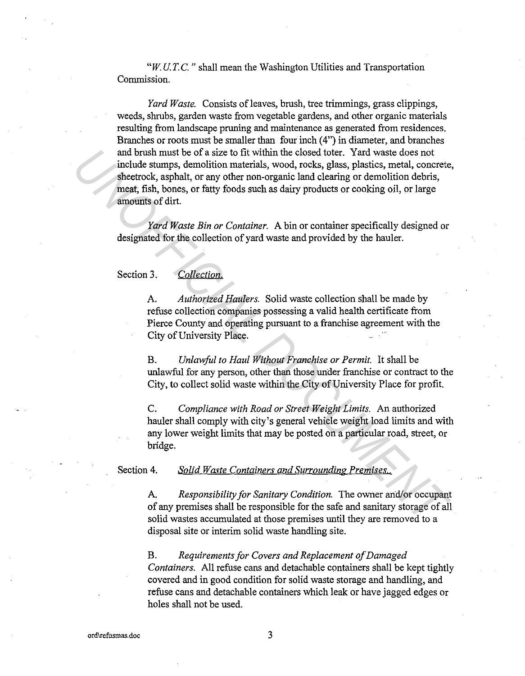*"W.U.T.C."* shall mean the Washington Utilities and Transportation Commission.

*Yard Waste.* Consists of leaves, brush, tree trimmings, grass clippings, weeds, shrubs, garden waste from vegetable gardens, and other organic materials resulting from landscape pruning and maintenance as generated from residences. Branches or roots must be smaller than four inch (4") in diameter, and branches and brush must be of a size to fit within the closed toter. Yard waste does not include stumps, demolition materials, wood, rocks, glass, plastics, metal, concrete, sheetrock, asphalt, or any other non-organic land clearing or demolition debris, meat, fish, bones, or fatty foods such as dairy products or cooking oil, or large amounts of dirt. and brush must be of a size to fit within the closed toter. Yard waste does not computed strumps, demolition materials, wood, rocks, glass, plastics, metal, concretes sheetrock, asphall, or any other non-organic land clear

*Yard Waste Bin or Container.* A bin or container specifically designed or designated for the collection of yard waste and provided by the hauler.

# Section 3. *Collection.*

A. *Authorized Haulers.* Solid waste collection shall be made by refuse collection companies possessing a valid health certificate from Pierce County and operating pursuant to a franchise agreement with the City of University Place.

B. *Unlawful to Haul Without Franchise or Permit.* It shall be unlawful for any person, other than those under franchise or contract to the City, to collect solid waste within the City of University Place for profit.

C. *Compliance with Road or Street Weight Limits.* An authorized hauler shall comply with city's general vehicle weight load limits and with any lower weight limits that may be posted on a particular road, street, or bridge.

#### Section 4. *Solid Wayte Containers and Surrounding Premises.*

A. *Responsibility for Sanitary Condition.* The owner and/or occupant of any premises shall be responsible for the safe and sanitary storage of all solid wastes accumulated at those premises until they are removed to a disposal site or interim solid waste handling site.

B. *Requirements for Covers and Replacement of Damaged Containers.* All refuse cans and detachable containers shall be kept tightly covered and in good condition for solid waste storage and handling, and refuse cans and detachable containers which leak or have jagged edges or holes shall not be used.

3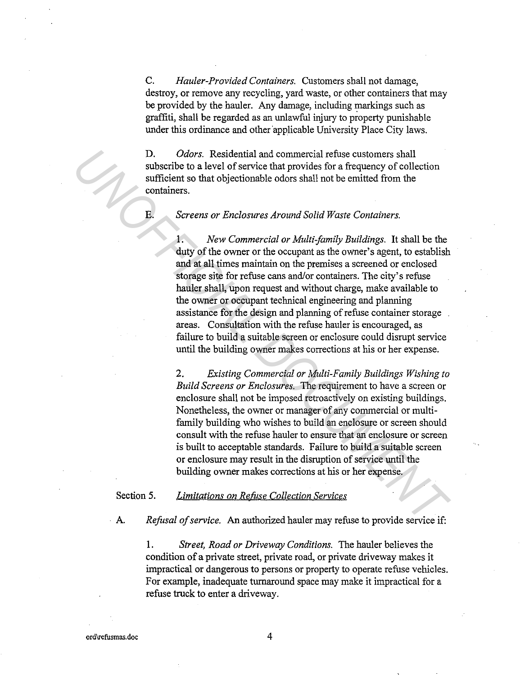C. *Hauler-Provided Containers.* Customers shall not damage, destroy, or remove any recycling, yard waste, or other containers that may be provided by the hauler. Any damage, including markings such as graffiti, shall be regarded as an unlawful injury to property punishable under this ordinance and other applicable University Place City laws.

D. *Odors.* Residential and commercial refuse customers shall subscribe to a level of service that provides for a frequency of collection sufficient so that objectionable odors shall not be emitted from the containers.

E. *Screens or Enclosures Around Solid Waste Containers.* 

1. *New Commercial or Multi-family Buildings.* It shall be the duty of the owner or the occupant as the owner's agent, to establish and at all times maintain on the premises a screened or enclosed storage site for refuse cans and/or containers. The city's refuse hauler shall, upon request and without charge, make available to the owner or occupant technical engineering and planning assistance for the design and planning of refuse container storage areas. Consultation with the refuse hauler is encouraged, as failure to build a suitable screen or enclosure could disrupt service until the building owner makes corrections at his or her expense. **10.** Odors. Residential and commercial refuse customers shall<br>subscribe to a level of service that provides for a frequency of collection<br>sufficient so that objectionable odors shall not be emitted from the<br>containers.<br><br><br>

2. *Existing Commercial or Multi-Family Buildings Wishing to Build Screens or Enclosures.* The requirement to have a screen or enclosure shall not be imposed retroactively on existing buildings. Nonetheless, the owner or manager of any commercial or multifamily building who wishes to build an enclosure or screen should consult with the refuse hauler to ensure that an enclosure or screen is built to acceptable standards. Failure to build a suitable screen or enclosure may result in the disruption of service until the building owner makes corrections at his or her expense.

#### Section 5. *Limitations on Refuse Collection Services*

A. *Refusal of service.* An authorized hauler may refuse to provide service if:

1. *Street, Road or Driveway Conditions.* The hauler believes the condition of a private street, private road, or private driveway makes it impractical or dangerous to persons or property to operate refuse vehicles. For example, inadequate turnaround space may make it impractical for a refuse truck to enter a driveway.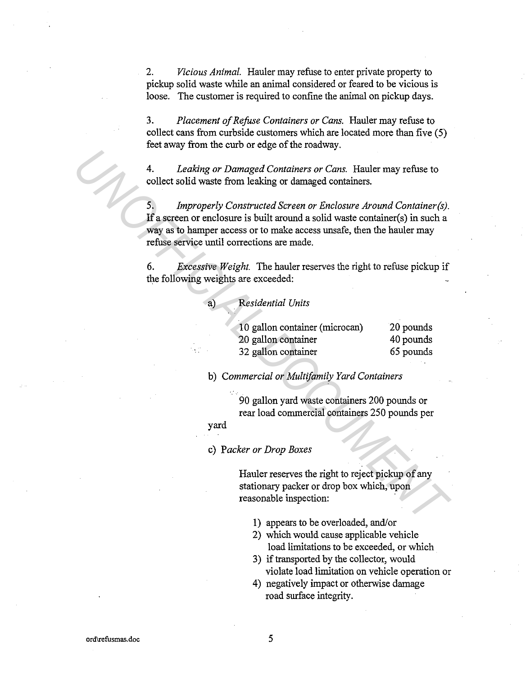2. *Vicious Animal.* Hauler may refuse to enter private property to pickup solid waste while an animal considered or feared to be vicious is loose. The customer is required to confine the animal on pickup days.

3. *Placement of Refase Containers or Cans.* Hauler may refuse to collect cans from curbside customers which are located more than five (5) feet away from the curb or edge of the roadway.

4. *Leaking or Damaged Containers or Cans.* Hauler may refuse to collect solid waste from leaking or damaged containers.

5. *Improperly Constructed Screen or Enclosure Around Container(s).*  If a screen or enclosure is built around a solid waste container(s) in such a way as to hamper access or to make access unsafe, then the hauler may refuse service until corrections are made. *Leaking or Damaged Containers or Cans.* Hauler may refuse to<br>
dellect solid waste from leaking or damaged containers.<br>
5. *Improperly Constructed Screen or Enclosure Around Container(s)*.<br> **16** a sereon or enclosure is bu

6. *Excessive Weight.* The hauler reserves the right to refuse pickup if the following weights are exceeded:

a) *Residential Units* 

| 10 gallon container (microcan) | 20 pounds |
|--------------------------------|-----------|
| 20 gallon container            | 40 pounds |
| 32 gallon container            | 65 pounds |

b) *Commercial or Multifamily Yard Containers* 

90 gallon yard waste containers 200 pounds or rear load commercial containers 250 pounds per

## yard

c) *Packer or Drop Boxes* 

Hauler reserves the right to reject pickup of any stationary packer or drop box which, upon reasonable inspection:

- 1) appears to be overloaded, and/or
- 2) which would cause applicable vehicle load limitations to be exceeded, or which
- 3) if transported by the collector, would violate load limitation on vehicle operation or
- 4) negatively impact or otherwise damage road surface integrity.

5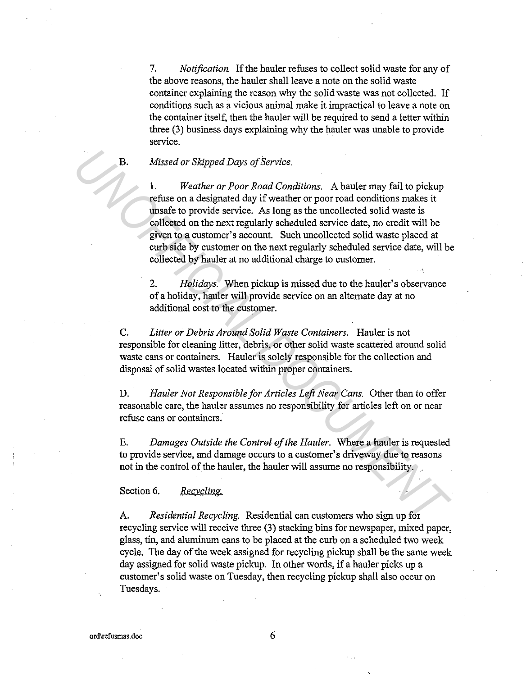7. *Notification.* If the hauler refuses to collect solid waste for any of the above reasons, the hauler shall leave a note on the solid waste container explaining the reason why the solid waste was not collected. If conditions such as a vicious animal make it impractical to leave a note on the container itself, then the hauler will be required to send a letter within three (3) business days explaining why the hauler was unable to provide service.

## B. *Missed or Skipped Days of Service.*

1. *Weather or Poor Road Conditions.* A hauler may fail to pickup refuse on a designated day if weather or poor road conditions makes it unsafe to provide service. As long as the uncollected solid waste is collected on the next regularly scheduled service date, no credit will be given to a customer's account. Such uncollected solid waste placed at curb side by customer on the next regularly scheduled service date, will be collected by hauler at no additional charge to customer. **B.** *Missed or Skipped Days of Service.*<br>
1. *Weather or Poor Road Conditions.* A hauler may fail to pickup<br>
refuse on a designated day if weather or poor road conditions makes it<br>
unsete to provide service. As long as th

2. *Holidays.* When pickup is missed due to the hauler's observance of a holiday, hauler will provide service on an alternate day at no additional cost to the customer.

C. *Litter or Debris Around Solid Waste Containers.* Hauler is not responsible for cleaning litter, debris, or other solid waste scattered around solid waste cans or containers. Hauler is solely responsible for the collection and disposal of solid wastes located within proper containers.

D. *Hauler Not Responsible for Articles Left Near Cans.* Other than to offer reasonable care, the hauler assumes no responsibility for articles left on or near refuse cans or containers.

E. *Damages Outside the Control of the Hauler.* Where a hauler is requested to provide service, and damage occurs to a customer's driveway due to reasons not in the control of the hauler, the hauler will assume no responsibility.

Section 6. Recycling.

A. *Residential Recycling.* Residential can customers who sign up for recycling service will receive three (3) stacking bins for newspaper, mixed paper, glass, tin, and aluminum cans to be placed at the curb on a scheduled two week cycle. The day of the week assigned for recycling pickup shall be the same week day assigned for solid waste pickup. In other words, if a hauler picks up a customer's solid waste on Tuesday, then recycling pickup shall also occur on Tuesdays.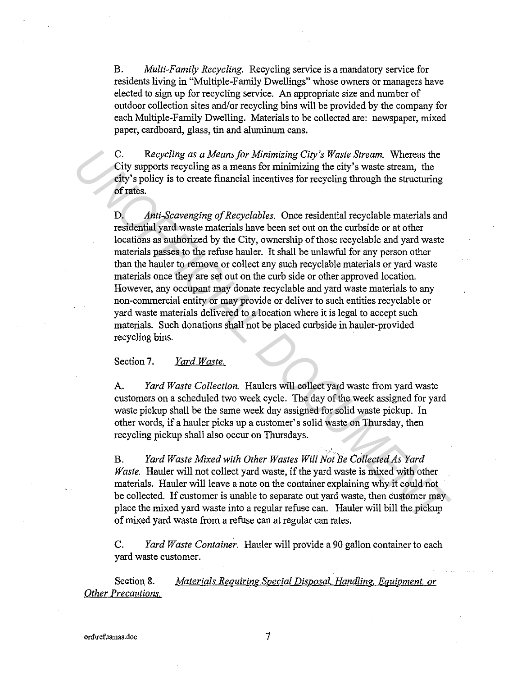B. *Multi-Family Recycling.* Recycling service is a mandatory service for residents living in "Multiple-Family Dwellings" whose owners or managers have elected to sign up for recycling service. An appropriate size and number of outdoor collection sites and/or recycling bins will be provided by the company for each Multiple-Family Dwelling. Materials to be collected are: newspaper, mixed paper, cardboard, glass, tin and aluminum cans.

C. *Recycling as a Means for Minimizing City's Waste Stream.* Whereas the City supports recycling as a means for minimizing the city's waste stream, the city's policy is to create financial incentives for recycling through the structuring of rates.

D. *Anti-Scavenging of Recyclables.* Once residential recyclable materials and residential yard waste materials have been set out on the curbside or at other locations as authorized by the City, ownership of those recyclable and yard waste materials passes to the refuse hauler. It shall be unlawful for any person other than the hauler to remove or collect any such recyclable materials or yard waste materials once they are set out on the curb side or other approved location. However, any occupant may donate recyclable and yard waste materials to any non-commercial entity or may provide or deliver to such entities recyclable or yard waste materials delivered to a location where it is legal to accept such materials. Such donations shall not be placed curbside in hauler-provided recycling bins. C. Recycling as a Means for Minimizing City's Waste Stream. Whereas the<br>City supports recycling as a means for minimizing the city's waste stream, the<br>city's spolicy is to create financial incentives for recycling through

## Section 7. *Yard Waste.*

A. *Yard Waste Collection.* Haulers will collect yard waste from yard waste customers on a scheduled two week cycle. The day of the week assigned for yard waste pickup shall be the same week day assigned for solid waste pickup. In other words, if a hauler picks up a customer's solid waste on Thursday, then recycling pickup shall also occur on Thursdays.

B. *Yard Waste Mixed with Other Wastes Will Not Be Collected As Yard Waste.* Hauler will not collect yard waste, if the yard waste is mixed with other materials. Hauler will leave a note on the container explaining why it could not be collected. If customer is unable to separate out yard waste, then customer may place the mixed yard waste into a regular refuse can. Hauler will bill the pickup of mixed yard waste from a refuse can at regular can rates.

C. *Yard Waste Container.* Hauler will provide a 90 gallon container to each yard waste customer.

Section 8. *Materials Requiring Special Disposal, Handling, Equipment, or Other Precautions.*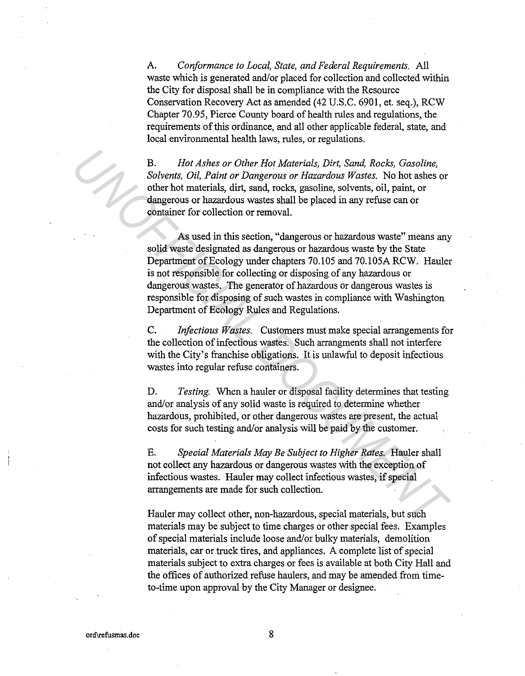A. *Conformance to Local, State, and Federal Requirements.* All waste which is generated and/or placed for collection and collected within the City for disposal shall be in compliance with the Resource Conservation Recovery Act as amended (42 U.S.C. 6901, et. seq.), RCW Chapter 70.95, Pierce County board of health rules and regulations, the requirements of this ordinance, and all other applicable federal, state, and local environmental health laws, rules, or regulations.

B. *Hot Ashes or Other Hot Materials, Dirt, Sand, Rocks, Gasoline, Solvents, Oil, Paint or Dangerous or Hazardous Wastes.* No hot ashes or other hot materials, dirt, sand, rocks, gasoline, solvents, oil, paint, or dangerous or hazardous wastes shall be placed in any refuse can or container for collection or removal.

As used in this section, "dangerous or hazardous waste" means any solid waste designated as dangerous or hazardous waste by the State Department of Ecology under chapters 70.105 and 70.105A RCW. Hauler is not responsible for collecting or disposing of any hazardous or dangerous wastes. The generator of hazardous or dangerous wastes is responsible for disposing of such wastes in compliance with Washington Department of Ecology Rules and Regulations. **Example 16 and 16 and 16 and 16 and 16 and 16 and 16 and 16 and 16 and 16 and 16 and 16 and 16 and 16 and 16 and 16 and 16 and 16 and 16 and 16 and 16 and 16 and 16 and 16 and 16 and 16 and 16 and 16 and 16 and 16 and 16** 

C. *Infectious Wastes.* Customers must make special arrangements for the collection of infectious wastes. Such arrangments shall not interfere with the City's franchise obligations. It is unlawful to deposit infectious wastes into regular refuse containers.

D. *Testing.* When a hauler or disposal facility determines that testing and/or analysis of any solid waste is required to determine whether hazardous, prohibited, or other dangerous wastes are present, the actual costs for such testing and/or analysis will be paid by the customer.

E. *Special Materials May Be Subject to Higher Rates.* Hauler shall not collect any hazardous or dangerous wastes with the exception of infectious wastes. Hauler may collect infectious wastes, if special arrangements are made for such collection.

Hauler may collect other, non-hazardous, special materials, but such materials may be subject to time charges or other special fees. Examples of special materials include loose and/or bulky materials, demolition materials, car or truck tires, and appliances. A complete list of special materials subject to extra charges or fees is available at both City Hall and the offices of authorized refuse haulers, and may be amended from timeto-time upon approval by the City Manager or designee.

8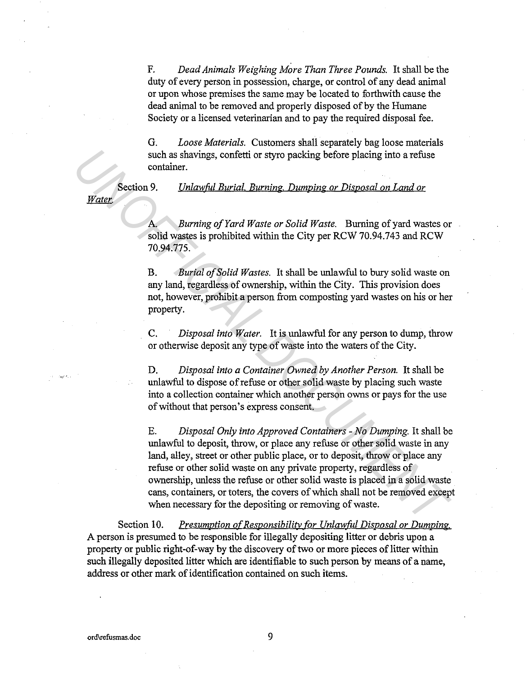F. *Dead Animals Weighing More Than Three Pounds.* It shall be the duty of every person in possession, charge, or control of any dead animal or upon whose premises the same may be located to forthwith cause the dead animal to be removed and properly disposed of by the Humane Society or a licensed veterinarian and to pay the required disposal fee.

G. *Loose Materials.* Customers shall separately bag loose materials such as shavings, confetti or styro packing before placing into a refuse container.

Section 9. *Unlawful Burial Burning. Dumping or Disposal on Land or* 

A *Burning of Yard Waste or Solid Waste.* Burning of yard wastes or solid wastes is prohibited within the City per RCW 70.94.743 and RCW 70.94.775.

B. *Burial of Solid Wastes.* It shall be unlawful to bury solid waste on any land, regardless of ownership, within the City. This provision does not, however, prohibit a person from composting yard wastes on his or her property.

C. *Disposal into Water.* It is unlawful for any person to dump, throw or otherwise deposit any type of waste into the waters of the City.

D. *Disposal into a Container Owned by Another Person.* It shall be unlawful to dispose of refuse or other solid waste by placing such waste into a collection container which another person owns or pays for the use of without that person's express consent.

E. *Disposal Only into Approved Containers* - *No Dumping.* It shall be unlawful to deposit, throw, or place any refuse or other solid waste in any land, alley, street or other public place, or to deposit, throw or place any refuse or other solid waste on any private property, regardless of ownership, unless the refuse or other solid waste is placed in a solid waste cans, containers, or toters, the covers of which shall not be removed except when necessary for the depositing or removing of waste. **Example 19 Solution** States and the reading the section of *Unlawful Burial. Burning. Dumping or Disposal on Land or*<br>*Patter*<br>**A** *Burning of Yard Waste or Solid Waste.* Burning of yard wastes or solid wastes is prohib

Section 10. *Presumption of Responsibility for Unlawful Disposal or Dumping.* A person is presumed to be responsible for illegally depositing litter or debris upon a property or public right-of-way by the discovery of two or more pieces of litter within such illegally deposited litter which are identifiable to such person by means of a name, address or other mark of identification contained on such items.